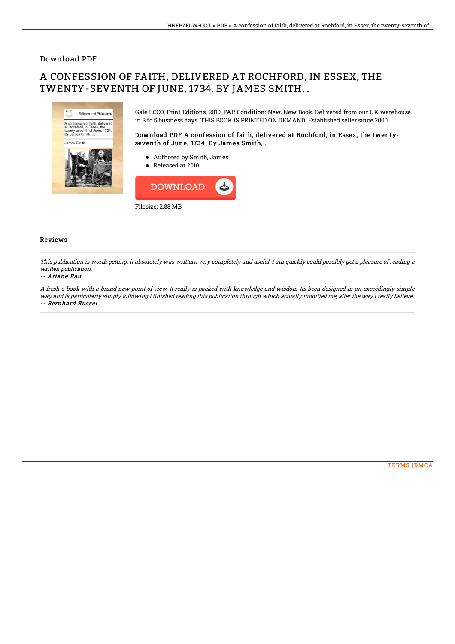### Download PDF

# A CONFESSION OF FAITH, DELIVERED AT ROCHFORD, IN ESSEX, THE TWENTY-SEVENTH OF JUNE, 1734. BY JAMES SMITH, .



Gale ECCO, Print Editions, 2010. PAP. Condition: New. New Book. Delivered from our UK warehouse in 3 to 5 business days. THIS BOOK IS PRINTED ON DEMAND. Established seller since 2000.

Download PDF A confession of faith, delivered at Rochford, in Essex, the twentyseventh of June, 1734. By James Smith, .

- Authored by Smith, James
- Released at 2010



#### Reviews

This publication is worth getting. it absolutely was writtern very completely and useful. I am quickly could possibly get <sup>a</sup> pleasure of reading <sup>a</sup> written publication.

#### -- Ariane Rau

A fresh e-book with <sup>a</sup> brand new point of view. It really is packed with knowledge and wisdom Its been designed in an exceedingly simple way and is particularly simply following i finished reading this publication through which actually modified me, alter the way i really believe. -- Bernhard Russel